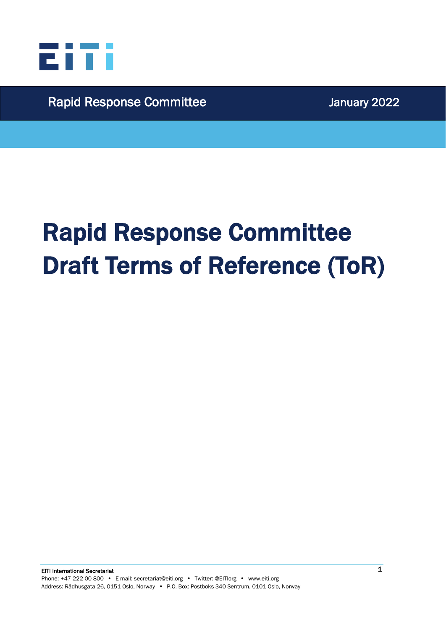

Rapid Response Committee Manuary 2022

# Rapid Response Committee Draft Terms of Reference (ToR)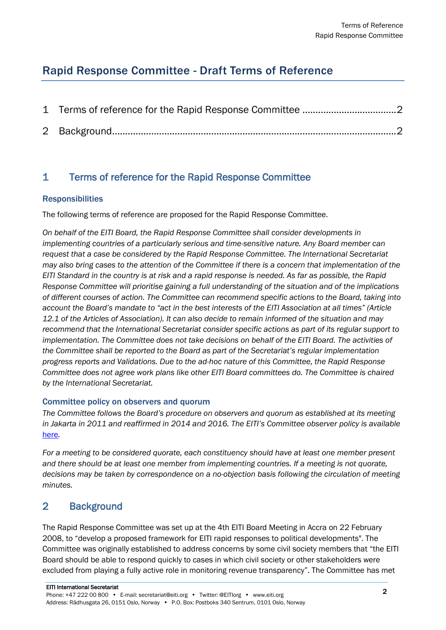## Rapid Response Committee - Draft Terms of Reference

### <span id="page-1-0"></span>1 Terms of reference for the Rapid Response Committee

#### **Responsibilities**

The following terms of reference are proposed for the Rapid Response Committee.

*On behalf of the EITI Board, the Rapid Response Committee shall consider developments in implementing countries of a particularly serious and time-sensitive nature. Any Board member can request that a case be considered by the Rapid Response Committee. The International Secretariat may also bring cases to the attention of the Committee if there is a concern that implementation of the EITI Standard in the country is at risk and a rapid response is needed. As far as possible, the Rapid Response Committee will prioritise gaining a full understanding of the situation and of the implications of different courses of action. The Committee can recommend specific actions to the Board, taking into account the Board's mandate to "act in the best interests of the EITI Association at all times" (Article 12.1 of the Articles of Association). It can also decide to remain informed of the situation and may recommend that the International Secretariat consider specific actions as part of its regular support to implementation. The Committee does not take decisions on behalf of the EITI Board. The activities of the Committee shall be reported to the Board as part of the Secretariat's regular implementation progress reports and Validations. Due to the ad-hoc nature of this Committee, the Rapid Response Committee does not agree work plans like other EITI Board committees do. The Committee is chaired by the International Secretariat.*

#### Committee policy on observers and quorum

*The Committee follows the Board's procedure on observers and quorum as established at its meeting in Jakarta in 2011 and reaffirmed in 2014 and 2016. The EITI's Committee observer policy is available*  [here](https://eiti.org/BD/2018-2)*.*

*For a meeting to be considered quorate, each constituency should have at least one member present and there should be at least one member from implementing countries. If a meeting is not quorate, decisions may be taken by correspondence on a no-objection basis following the circulation of meeting minutes.*

#### <span id="page-1-1"></span>2 Background

The Rapid Response Committee was set up at the 4th EITI Board Meeting in Accra on 22 February 2008, to "develop a proposed framework for EITI rapid responses to political developments". The Committee was originally established to address concerns by some civil society members that "the EITI Board should be able to respond quickly to cases in which civil society or other stakeholders were excluded from playing a fully active role in monitoring revenue transparency". The Committee has met